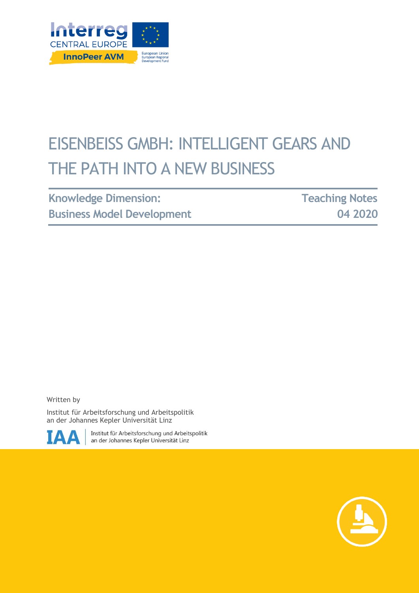

# EISENBEISS GMBH: INTELLIGENT GEARS AND THE PATH INTO A NEW BUSINESS

| <b>Knowledge Dimension:</b>       |  |
|-----------------------------------|--|
| <b>Business Model Development</b> |  |

**Teaching Notes 04 2020**

Written by

Institut für Arbeitsforschung und Arbeitspolitik an der Johannes Kepler Universität Linz



Institut für Arbeitsforschung und Arbeitspolitik an der Johannes Kepler Universität Linz

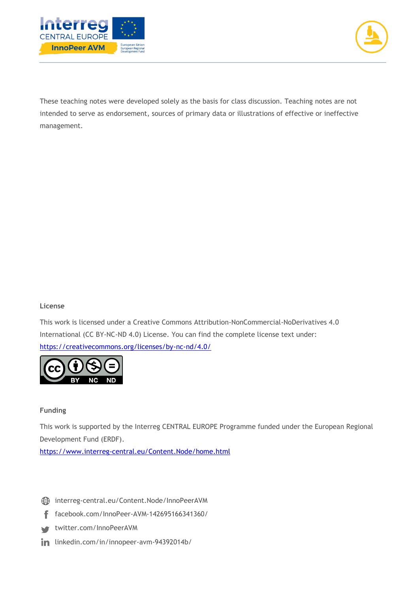



These teaching notes were developed solely as the basis for class discussion. Teaching notes are not intended to serve as endorsement, sources of primary data or illustrations of effective or ineffective management.

#### **License**

This work is licensed under a Creative Commons Attribution-NonCommercial-NoDerivatives 4.0 International (CC BY-NC-ND 4.0) License. You can find the complete license text under: <https://creativecommons.org/licenses/by-nc-nd/4.0/>



#### **Funding**

This work is supported by the Interreg CENTRAL EUROPE Programme funded under the European Regional Development Fund (ERDF).

<https://www.interreg-central.eu/Content.Node/home.html>

- [interreg-central.eu/Content.Node/InnoPeerAVM](https://www.interreg-central.eu/Content.Node/InnoPeerAVM.html)
- [facebook.com/InnoPeer-AVM-142695166341360/](https://www.facebook.com/InnoPeer-AVM-142695166341360/) f
- [twitter.com/InnoPeerAVM](https://twitter.com/InnoPeerAVM)
- in [linkedin.com/in/innopeer-avm-94392014b/](https://www.linkedin.com/in/innopeer-avm-94392014b/)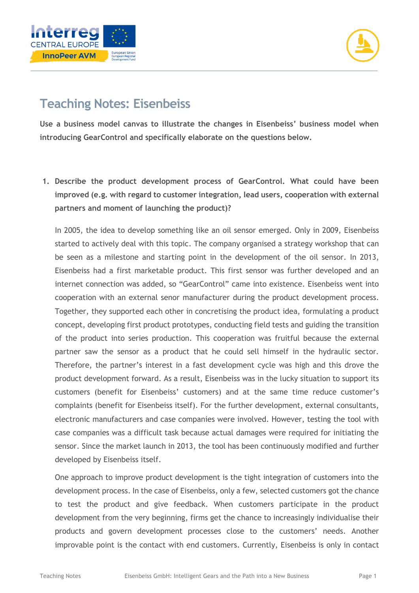



# **Teaching Notes: Eisenbeiss**

**Use a business model canvas to illustrate the changes in Eisenbeiss' business model when introducing GearControl and specifically elaborate on the questions below.** 

**1. Describe the product development process of GearControl. What could have been improved (e.g. with regard to customer integration, lead users, cooperation with external partners and moment of launching the product)?** 

In 2005, the idea to develop something like an oil sensor emerged. Only in 2009, Eisenbeiss started to actively deal with this topic. The company organised a strategy workshop that can be seen as a milestone and starting point in the development of the oil sensor. In 2013, Eisenbeiss had a first marketable product. This first sensor was further developed and an internet connection was added, so "GearControl" came into existence. Eisenbeiss went into cooperation with an external senor manufacturer during the product development process. Together, they supported each other in concretising the product idea, formulating a product concept, developing first product prototypes, conducting field tests and guiding the transition of the product into series production. This cooperation was fruitful because the external partner saw the sensor as a product that he could sell himself in the hydraulic sector. Therefore, the partner's interest in a fast development cycle was high and this drove the product development forward. As a result, Eisenbeiss was in the lucky situation to support its customers (benefit for Eisenbeiss' customers) and at the same time reduce customer's complaints (benefit for Eisenbeiss itself). For the further development, external consultants, electronic manufacturers and case companies were involved. However, testing the tool with case companies was a difficult task because actual damages were required for initiating the sensor. Since the market launch in 2013, the tool has been continuously modified and further developed by Eisenbeiss itself.

One approach to improve product development is the tight integration of customers into the development process. In the case of Eisenbeiss, only a few, selected customers got the chance to test the product and give feedback. When customers participate in the product development from the very beginning, firms get the chance to increasingly individualise their products and govern development processes close to the customers' needs. Another improvable point is the contact with end customers. Currently, Eisenbeiss is only in contact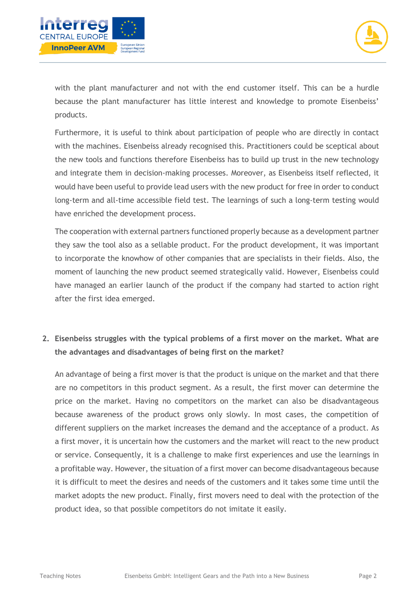



with the plant manufacturer and not with the end customer itself. This can be a hurdle because the plant manufacturer has little interest and knowledge to promote Eisenbeiss' products.

Furthermore, it is useful to think about participation of people who are directly in contact with the machines. Eisenbeiss already recognised this. Practitioners could be sceptical about the new tools and functions therefore Eisenbeiss has to build up trust in the new technology and integrate them in decision-making processes. Moreover, as Eisenbeiss itself reflected, it would have been useful to provide lead users with the new product for free in order to conduct long-term and all-time accessible field test. The learnings of such a long-term testing would have enriched the development process.

The cooperation with external partners functioned properly because as a development partner they saw the tool also as a sellable product. For the product development, it was important to incorporate the knowhow of other companies that are specialists in their fields. Also, the moment of launching the new product seemed strategically valid. However, Eisenbeiss could have managed an earlier launch of the product if the company had started to action right after the first idea emerged.

# **2. Eisenbeiss struggles with the typical problems of a first mover on the market. What are the advantages and disadvantages of being first on the market?**

An advantage of being a first mover is that the product is unique on the market and that there are no competitors in this product segment. As a result, the first mover can determine the price on the market. Having no competitors on the market can also be disadvantageous because awareness of the product grows only slowly. In most cases, the competition of different suppliers on the market increases the demand and the acceptance of a product. As a first mover, it is uncertain how the customers and the market will react to the new product or service. Consequently, it is a challenge to make first experiences and use the learnings in a profitable way. However, the situation of a first mover can become disadvantageous because it is difficult to meet the desires and needs of the customers and it takes some time until the market adopts the new product. Finally, first movers need to deal with the protection of the product idea, so that possible competitors do not imitate it easily.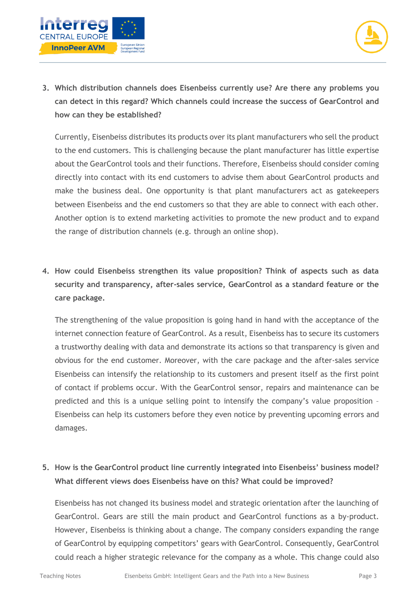



**3. Which distribution channels does Eisenbeiss currently use? Are there any problems you can detect in this regard? Which channels could increase the success of GearControl and how can they be established?**

Currently, Eisenbeiss distributes its products over its plant manufacturers who sell the product to the end customers. This is challenging because the plant manufacturer has little expertise about the GearControl tools and their functions. Therefore, Eisenbeiss should consider coming directly into contact with its end customers to advise them about GearControl products and make the business deal. One opportunity is that plant manufacturers act as gatekeepers between Eisenbeiss and the end customers so that they are able to connect with each other. Another option is to extend marketing activities to promote the new product and to expand the range of distribution channels (e.g. through an online shop).

**4. How could Eisenbeiss strengthen its value proposition? Think of aspects such as data security and transparency, after-sales service, GearControl as a standard feature or the care package.**

The strengthening of the value proposition is going hand in hand with the acceptance of the internet connection feature of GearControl. As a result, Eisenbeiss has to secure its customers a trustworthy dealing with data and demonstrate its actions so that transparency is given and obvious for the end customer. Moreover, with the care package and the after-sales service Eisenbeiss can intensify the relationship to its customers and present itself as the first point of contact if problems occur. With the GearControl sensor, repairs and maintenance can be predicted and this is a unique selling point to intensify the company's value proposition – Eisenbeiss can help its customers before they even notice by preventing upcoming errors and damages.

### **5. How is the GearControl product line currently integrated into Eisenbeiss' business model? What different views does Eisenbeiss have on this? What could be improved?**

Eisenbeiss has not changed its business model and strategic orientation after the launching of GearControl. Gears are still the main product and GearControl functions as a by-product. However, Eisenbeiss is thinking about a change. The company considers expanding the range of GearControl by equipping competitors' gears with GearControl. Consequently, GearControl could reach a higher strategic relevance for the company as a whole. This change could also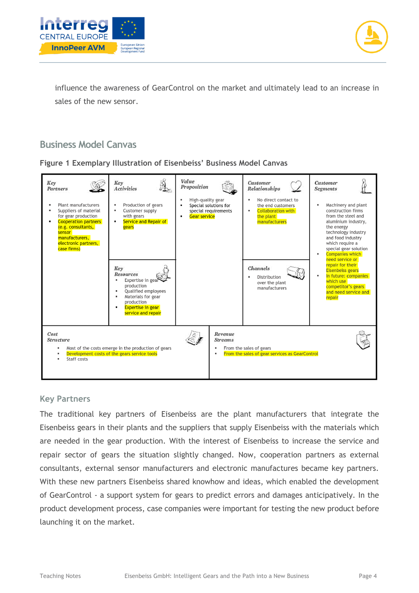



influence the awareness of GearControl on the market and ultimately lead to an increase in sales of the new sensor.

# **Business Model Canvas**



| Key<br>Partners<br>Plant manufacturers<br>Suppliers of material<br>for gear production<br><b>Cooperation partners</b><br>(e.g. consultants,<br>sensor<br>manufacturers,<br>electronic partners,<br>case firms) | Key<br><b>Activities</b><br>Production of gears<br>٠<br>Customer supply<br>٠<br>with gears<br>Service and Repair of<br>$\blacksquare$<br>gears<br>Key<br><b>Resources</b><br>Expertise in gear<br>production<br>Qualified employees<br>Materials for gear | Value<br>Proposition<br>High-quality gear<br>Special solutions for<br>special requirements<br>Gear service<br>٠ | <b>Customer</b><br>Relationships<br>No direct contact to<br>٠<br>the end customers<br><b>Collaboration with</b><br>۰.<br>the plant<br>manufacturers<br>Channels<br>Distribution<br>over the plant<br>manufacturers | Customer<br><b>Segments</b><br>Machinery and plant<br>٠<br>construction firms<br>from the steel and<br>aluminium industry,<br>the energy<br>technology industry<br>and food industry<br>which require a<br>special gear solution<br><b>Companies which</b><br>٠<br>need service or<br>repair for their<br><b>Eisenbeiss gears</b><br>In future: companies<br>$\blacksquare$<br>which use<br>competitor's gears<br>and need service and<br>repair |
|----------------------------------------------------------------------------------------------------------------------------------------------------------------------------------------------------------------|-----------------------------------------------------------------------------------------------------------------------------------------------------------------------------------------------------------------------------------------------------------|-----------------------------------------------------------------------------------------------------------------|--------------------------------------------------------------------------------------------------------------------------------------------------------------------------------------------------------------------|--------------------------------------------------------------------------------------------------------------------------------------------------------------------------------------------------------------------------------------------------------------------------------------------------------------------------------------------------------------------------------------------------------------------------------------------------|
| Cost<br><b>Structure</b><br>Staff costs                                                                                                                                                                        | production<br><b>Expertise in gear</b><br>service and repair<br>Most of the costs emerge in the production of gears<br>Development costs of the gears service tools                                                                                       | Revenue<br><b>Streams</b>                                                                                       | From the sales of gears<br>From the sales of gear services as GearControl                                                                                                                                          |                                                                                                                                                                                                                                                                                                                                                                                                                                                  |

#### **Key Partners**

The traditional key partners of Eisenbeiss are the plant manufacturers that integrate the Eisenbeiss gears in their plants and the suppliers that supply Eisenbeiss with the materials which are needed in the gear production. With the interest of Eisenbeiss to increase the service and repair sector of gears the situation slightly changed. Now, cooperation partners as external consultants, external sensor manufacturers and electronic manufactures became key partners. With these new partners Eisenbeiss shared knowhow and ideas, which enabled the development of GearControl - a support system for gears to predict errors and damages anticipatively. In the product development process, case companies were important for testing the new product before launching it on the market.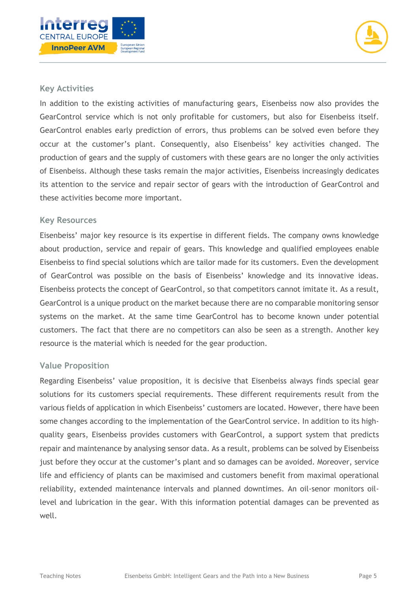



#### **Key Activities**

In addition to the existing activities of manufacturing gears, Eisenbeiss now also provides the GearControl service which is not only profitable for customers, but also for Eisenbeiss itself. GearControl enables early prediction of errors, thus problems can be solved even before they occur at the customer's plant. Consequently, also Eisenbeiss' key activities changed. The production of gears and the supply of customers with these gears are no longer the only activities of Eisenbeiss. Although these tasks remain the major activities, Eisenbeiss increasingly dedicates its attention to the service and repair sector of gears with the introduction of GearControl and these activities become more important.

#### **Key Resources**

Eisenbeiss' major key resource is its expertise in different fields. The company owns knowledge about production, service and repair of gears. This knowledge and qualified employees enable Eisenbeiss to find special solutions which are tailor made for its customers. Even the development of GearControl was possible on the basis of Eisenbeiss' knowledge and its innovative ideas. Eisenbeiss protects the concept of GearControl, so that competitors cannot imitate it. As a result, GearControl is a unique product on the market because there are no comparable monitoring sensor systems on the market. At the same time GearControl has to become known under potential customers. The fact that there are no competitors can also be seen as a strength. Another key resource is the material which is needed for the gear production.

#### **Value Proposition**

Regarding Eisenbeiss' value proposition, it is decisive that Eisenbeiss always finds special gear solutions for its customers special requirements. These different requirements result from the various fields of application in which Eisenbeiss' customers are located. However, there have been some changes according to the implementation of the GearControl service. In addition to its highquality gears, Eisenbeiss provides customers with GearControl, a support system that predicts repair and maintenance by analysing sensor data. As a result, problems can be solved by Eisenbeiss just before they occur at the customer's plant and so damages can be avoided. Moreover, service life and efficiency of plants can be maximised and customers benefit from maximal operational reliability, extended maintenance intervals and planned downtimes. An oil-senor monitors oillevel and lubrication in the gear. With this information potential damages can be prevented as well.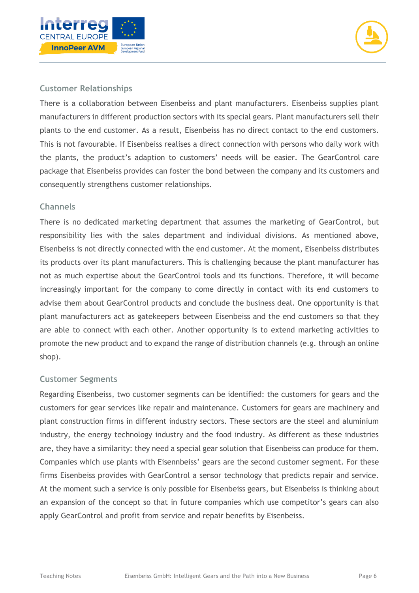



#### **Customer Relationships**

There is a collaboration between Eisenbeiss and plant manufacturers. Eisenbeiss supplies plant manufacturers in different production sectors with its special gears. Plant manufacturers sell their plants to the end customer. As a result, Eisenbeiss has no direct contact to the end customers. This is not favourable. If Eisenbeiss realises a direct connection with persons who daily work with the plants, the product's adaption to customers' needs will be easier. The GearControl care package that Eisenbeiss provides can foster the bond between the company and its customers and consequently strengthens customer relationships.

#### **Channels**

There is no dedicated marketing department that assumes the marketing of GearControl, but responsibility lies with the sales department and individual divisions. As mentioned above, Eisenbeiss is not directly connected with the end customer. At the moment, Eisenbeiss distributes its products over its plant manufacturers. This is challenging because the plant manufacturer has not as much expertise about the GearControl tools and its functions. Therefore, it will become increasingly important for the company to come directly in contact with its end customers to advise them about GearControl products and conclude the business deal. One opportunity is that plant manufacturers act as gatekeepers between Eisenbeiss and the end customers so that they are able to connect with each other. Another opportunity is to extend marketing activities to promote the new product and to expand the range of distribution channels (e.g. through an online shop).

#### **Customer Segments**

Regarding Eisenbeiss, two customer segments can be identified: the customers for gears and the customers for gear services like repair and maintenance. Customers for gears are machinery and plant construction firms in different industry sectors. These sectors are the steel and aluminium industry, the energy technology industry and the food industry. As different as these industries are, they have a similarity: they need a special gear solution that Eisenbeiss can produce for them. Companies which use plants with Eisennbeiss' gears are the second customer segment. For these firms Eisenbeiss provides with GearControl a sensor technology that predicts repair and service. At the moment such a service is only possible for Eisenbeiss gears, but Eisenbeiss is thinking about an expansion of the concept so that in future companies which use competitor's gears can also apply GearControl and profit from service and repair benefits by Eisenbeiss.